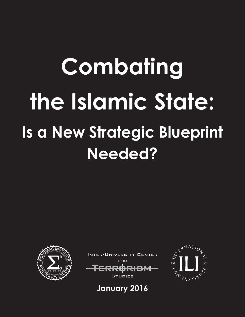# **Combating the Islamic State: Is a New Strategic Blueprint Needed?**







**January 2016**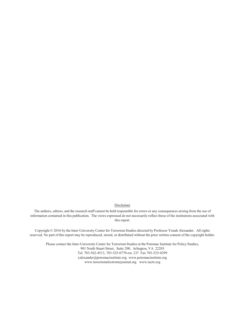#### **Disclaimer**

The authors, editors, and the research staff cannot be held responsible for errors or any consequences arising from the use of information contained in this publication. The views expressed do not necessarily reflect those of the institutions associated with this report.

Copyright © 2016 by the Inter-University Center for Terrorism Studies directed by Professor Yonah Alexander. All rights reserved. No part of this report may be reproduced, stored, or distributed without the prior written consent of the copyright holder.

Please contact the Inter-University Center for Terrorism Studies at the Potomac Institute for Policy Studies, 901 North Stuart Street, Suite 200, Arlington, VA 22203 Tel. 703-562-4513, 703-525-0770 ext. 237 Fax 703-525-0299 yalexander@potomacinstitute.org www.potomacinstitute.org www.terrorismelectronicjournal.org www.iucts.org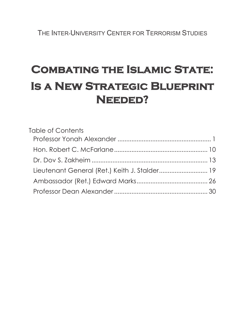# **Combating the Islamic State: Is a New Strategic Blueprint Needed?**

| <b>Table of Contents</b>                      |  |
|-----------------------------------------------|--|
|                                               |  |
|                                               |  |
|                                               |  |
| Lieutenant General (Ret.) Keith J. Stalder 19 |  |
|                                               |  |
|                                               |  |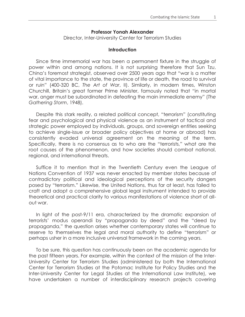#### **Professor Yonah Alexander**

Director, Inter-University Center for Terrorism Studies

#### **Introduction**

Since time immemorial war has been a permanent fixture in the struggle of power within and among nations. It is not surprising therefore that Sun Tzu, China's foremost strategist, observed over 2500 years ago that "war is a matter of vital importance to the state, the province of life or death, the road to survival or ruin" (400-320 BC, *The Art of War*, II). Similarly, in modern times, Winston Churchill, Britain's great former Prime Minister, famously noted that "in mortal war, anger must be subordinated in defeating the main immediate enemy" (*The Gathering Storm*, 1948).

Despite this stark reality, a related political concept, "terrorism" (constituting fear and psychological and physical violence as an instrument of tactical and strategic power employed by individuals, groups, and sovereign entities seeking to achieve single-issue or broader policy objectives at home or abroad) has consistently evaded universal agreement on the meaning of the term. Specifically, there is no consensus as to who are the "terrorists," what are the root causes of the phenomenon, and how societies should combat national, regional, and international threats.

Suffice it to mention that in the Twentieth Century even the League of Nations Convention of 1937 was never enacted by member states because of contradictory political and ideological perceptions of the security dangers posed by "terrorism." Likewise, the United Nations, thus far at least, has failed to craft and adopt a comprehensive global legal instrument intended to provide theoretical and practical clarity to various manifestations of violence short of allout war.

In light of the post-9/11 era, characterized by the dramatic expansion of terrorists' modus operandi by "propaganda by deed" and the "deed by propaganda," the question arises whether contemporary states will continue to reserve to themselves the legal and moral authority to define "terrorism" or perhaps usher in a more inclusive universal framework in the coming years.

To be sure, this question has continuously been on the academic agenda for the past fifteen years. For example, within the context of the mission of the Inter-University Center for Terrorism Studies (administered by both the International Center for Terrorism Studies at the Potomac Institute for Policy Studies and the Inter-University Center for Legal Studies at the International Law Institute), we have undertaken a number of interdisciplinary research projects covering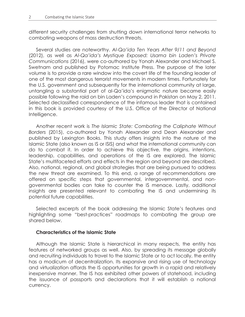different security challenges from shutting down international terror networks to combating weapons of mass destruction threats.

Several studies are noteworthy. *Al-Qa'ida Ten Years After 9/11 and Beyond*  (2012), as well as *Al-Qa'ida's Mystique Exposed: Usama bin Laden's Private Communications* (2016), were co-authored by Yonah Alexander and Michael S. Swetnam and published by Potomac Institute Press. The purpose of the later volume is to provide a rare window into the covert life of the founding leader of one of the most dangerous terrorist movements in modern times. Fortunately for the U.S. government and subsequently for the international community at large, untangling a substantial part of al-Qa'ida's enigmatic nature became easily possible following the raid on bin Laden's compound in Pakistan on May 2, 2011. Selected declassified correspondence of the infamous leader that is contained in this book is provided courtesy of the U.S. Office of the Director of National Intelligence.

Another recent work is *The Islamic State: Combating the Caliphate Without Borders* (2015), co-authored by Yonah Alexander and Dean Alexander and published by Lexington Books. This study offers insights into the nature of the Islamic State (also known as IS or ISIS) and what the international community can do to combat it. In order to achieve this objective, the origins, intentions, leadership, capabilities, and operations of the IS are explored. The Islamic State's multifaceted efforts and effects in the region and beyond are described. Also, national, regional, and global strategies that are being pursued to address the new threat are examined. To this end, a range of recommendations are offered on specific steps that governmental, intergovernmental, and nongovernmental bodies can take to counter the IS menace. Lastly, additional insights are presented relevant to combating the IS and undermining its potential future capabilities.

Selected excerpts of the book addressing the Islamic State's features and highlighting some "best-practices" roadmaps to combating the group are shared below.

#### **Characteristics of the Islamic State**

Although the Islamic State is hierarchical in many respects, the entity has features of networked groups as well. Also, by spreading its message globally and recruiting individuals to travel to the Islamic State or to act locally, the entity has a modicum of decentralization. Its expansive and rising use of technology and virtualization affords the IS opportunities for growth in a rapid and relatively inexpensive manner. The IS has exhibited other powers of statehood, including the issuance of passports and declarations that it will establish a national currency.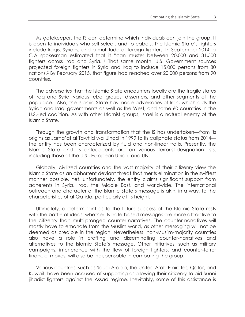As gatekeeper, the IS can determine which individuals can join the group. It is open to individuals who self-select, and to cabals. The Islamic State's fighters include Iraqis, Syrians, and a multitude of foreign fighters. In September 2014, a CIA spokesman estimated that it "can muster between 20,000 and 31,500 fighters across Iraq and Syria."1 That same month, U.S. Government sources projected foreign fighters in Syria and Iraq to include 15,000 persons from 80 nations.2 By February 2015, that figure had reached over 20,000 persons from 90 countries.

The adversaries that the Islamic State encounters locally are the fragile states of Iraq and Syria, various rebel groups, dissenters, and other segments of the populace. Also, the Islamic State has made adversaries of Iran, which aids the Syrian and Iraqi governments as well as the West, and some 60 countries in the U.S.-led coalition. As with other Islamist groups, Israel is a natural enemy of the Islamic State.

Through the growth and transformation that the IS has undertaken—from its origins as Jama'at al Tawhid wal Jihad in 1999 to its caliphate status from 2014 the entity has been characterized by fluid and non-linear traits. Presently, the Islamic State and its antecedents are on various terrorist-designation lists, including those of the U.S., European Union, and UN.

Globally, civilized countries and the vast majority of their citizenry view the Islamic State as an abhorrent deviant threat that merits elimination in the swiftest manner possible. Yet, unfortunately, the entity claims significant support from adherents in Syria, Iraq, the Middle East, and worldwide. The international outreach and character of the Islamic State's message is akin, in a way, to the characteristics of al-Qa'ida, particularly at its height.

Ultimately, a determinant as to the future success of the Islamic State rests with the battle of ideas: whether its hate-based messages are more attractive to the citizenry than multi-pronged counter-narratives. The counter-narratives will mostly have to emanate from the Muslim world, as other messaging will not be deemed as credible in the region. Nevertheless, non-Muslim-majority countries also have a role in crafting and disseminating counter-narratives and alternatives to the Islamic State's message. Other initiatives, such as military campaigns, interference with the flow of foreign fighters, and counter-terror financial moves, will also be indispensable in combating the group.

Various countries, such as Saudi Arabia, the United Arab Emirates, Qatar, and Kuwait, have been accused of supporting or allowing their citizenry to aid Sunni jihadist fighters against the Assad regime. Inevitably, some of this assistance is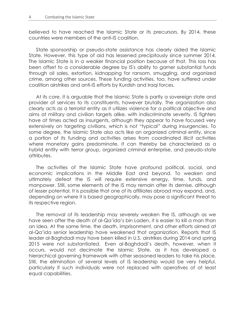believed to have reached the Islamic State or its precursors. By 2014, these countries were members of the anti-IS coalition.

State sponsorship or pseudo-state assistance has clearly aided the Islamic State. However, this type of aid has lessened precipitously since summer 2014. The Islamic State is in a weaker financial position because of that. This loss has been offset to a considerable degree by IS's ability to garner substantial funds through oil sales, extortion, kidnapping for ransom, smuggling, and organized crime, among other sources. These funding activities, too, have suffered under coalition airstrikes and anti-IS efforts by Kurdish and Iraqi forces.

At its core, it is arguable that the Islamic State is partly a sovereign state and provider of services to its constituents, however brutally. The organization also clearly acts as a terrorist entity as it utilizes violence for a political objective and aims at military and civilian targets alike, with indiscriminate severity. IS fighters have at times acted as insurgents, although they appear to have focused very extensively on targeting civilians, which is not "typical" during insurgencies. To some degree, the Islamic State also acts like an organized criminal entity, since a portion of its funding and activities arises from coordinated illicit activities where monetary gains predominate. It can thereby be characterized as a hybrid entity with terror group, organized criminal enterprise, and pseudo-state attributes.

The activities of the Islamic State have profound political, social, and economic implications in the Middle East and beyond. To weaken and ultimately defeat the IS will require extensive energy, time, funds, and manpower. Still, some elements of the IS may remain after its demise, although of lesser potential. It is possible that one of its affiliates abroad may expand, and, depending on where it is based geographically, may pose a significant threat to its respective region.

The removal of its leadership may severely weaken the IS, although as we have seen after the death of al-Qa'ida's bin Laden, it is easier to kill a man than an idea. At the same time, the death, imprisonment, and other efforts aimed at al-Qa'ida senior leadership have weakened that organization. Reports that IS leader al-Baghdadi may have been killed in U.S. airstrikes during 2014 and spring 2015 were not substantiated. Even al-Baghdadi's death, however, when it occurs, would not decimate the Islamic State, as it has developed a hierarchical governing framework with other seasoned leaders to take his place. Still, the elimination of several levels of IS leadership would be very helpful, particularly if such individuals were not replaced with operatives of at least equal capabilities.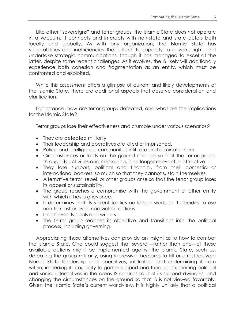Like other "sovereigns" and terror groups, the Islamic State does not operate in a vacuum. It connects and interacts with non-state and state actors both locally and globally. As with any organization, the Islamic State has vulnerabilities and inefficiencies that affect its capacity to govern, fight, and undertake strategic communications, though it has managed to excel at the latter, despite some recent challenges. As it evolves, the IS likely will additionally experience both cohesion and fragmentation as an entity, which must be confronted and exploited.

While this assessment offers a glimpse of current and likely developments of the Islamic State, there are additional aspects that deserve consideration and clarification.

For instance, how are terror groups defeated, and what are the implications for the Islamic State?

Terror groups lose their effectiveness and crumble under various scenarios:3

- They are defeated militarily.
- Their leadership and operatives are killed or imprisoned.
- Police and intelligence communities infiltrate and eliminate them.
- Circumstances or facts on the ground change so that the terror group, through its activities and messaging, is no longer relevant or attractive.
- They lose support, political and financial, from their domestic or international backers, so much so that they cannot sustain themselves.
- Alternative terror, rebel, or other groups arise so that the terror group loses its appeal or sustainability.
- The group reaches a compromise with the government or other entity with which it has a grievance.
- It determines that its violent tactics no longer work, so it decides to use non-terrorist or even non-violent actions.
- It achieves its goals and withers.
- The terror group reaches its objective and transitions into the political process, including governing.

Appreciating these alternatives can provide an insight as to how to combat the Islamic State. One could suggest that several—rather than one—of these available options might be implemented against the Islamic State, such as: defeating the group militarily, using repressive measures to kill or arrest relevant Islamic State leadership and operatives, infiltrating and undermining it from within, impeding its capacity to garner support and funding, supporting political and social alternatives in the areas IS controls so that its support dwindles, and changing the circumstances on the ground so that IS is not viewed favorably. Given the Islamic State's current worldview, it is highly unlikely that a political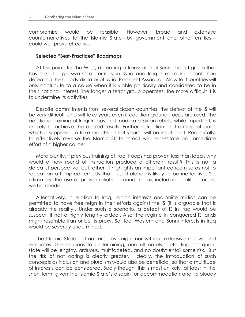compromise would be feasible. However, broad and extensive counternarratives to the Islamic State—by government and other entities could well prove effective.

#### **Selected "Best-Practices" Roadmaps**

At this point, for the West, defeating a transnational Sunni jihadist group that has seized large swaths of territory in Syria and Iraq is more important than defeating the bloody dictator of Syria, President Assad, an Alawite. Countries will only contribute to a cause when it is viable politically and considered to be in their national interest. The longer a terror group operates, the more difficult it is to undermine its activities.

Despite commitments from several dozen countries, the defeat of the IS will be very difficult, and will take years even if coalition ground troops are used. The additional training of Iraqi troops and moderate Syrian rebels, while important, is unlikely to achieve the desired results. Further instruction and arming of both, which is supposed to take months—if not years—will be insufficient. Realistically, to effectively reverse the Islamic State threat will necessitate an immediate effort of a higher caliber.

More bluntly, if previous training of Iraqi troops has proven less than ideal, why would a new round of instruction produce a different result? This is not a defeatist perspective, but rather, it highlights an important concern so as not to repeat an attempted remedy that—used alone—is likely to be ineffective. So, ultimately, the use of proven reliable ground troops, including coalition forces, will be needed.

Alternatively, in relation to Iraq, Iranian interests and Shiite militias can be permitted to have free reign in their efforts against the IS (it is arguable that is already the reality). Under such a scenario, a defeat of IS in Iraq would be suspect, if not a highly lengthy ordeal. Also, the regime in conquered IS lands might resemble Iran or be its proxy. So, too, Western and Sunni interests in Iraq would be severely undermined.

The Islamic State did not arise overnight nor without extensive resolve and resources. The solutions to undermining, and ultimately, defeating this quasistate will be lengthy, arduous, multifaceted, and no doubt entail some risk. But the risk of not acting is clearly greater. Ideally, the introduction of such concepts as inclusion and pluralism would also be beneficial, so that a multitude of interests can be considered. Sadly though, this is most unlikely, at least in the short term, given the Islamic State's disdain for accommodation and its bloody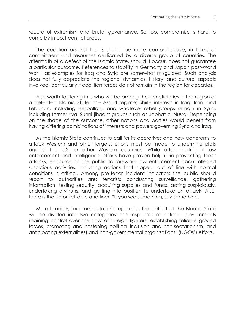record of extremism and brutal governance. So too, compromise is hard to come by in post-conflict areas.

The coalition against the IS should be more comprehensive, in terms of commitment and resources dedicated by a diverse group of countries. The aftermath of a defeat of the Islamic State, should it occur, does not guarantee a particular outcome. References to stability in Germany and Japan post-World War II as examples for Iraq and Syria are somewhat misguided. Such analysis does not fully appreciate the regional dynamics, history, and cultural aspects involved, particularly if coalition forces do not remain in the region for decades.

Also worth factoring in is who will be among the beneficiaries in the region of a defeated Islamic State: the Assad regime; Shiite interests in Iraq, Iran, and Lebanon, including Hezbollah;, and whatever rebel groups remain in Syria, including former rival Sunni jihadist groups such as Jabhat al-Nusra. Depending on the shape of the outcome, other nations and parties would benefit from having differing combinations of interests and powers governing Syria and Iraq.

As the Islamic State continues to call for its operatives and new adherents to attack Western and other targets, efforts must be made to undermine plots against the U.S. or other Western countries. While often traditional law enforcement and intelligence efforts have proven helpful in preventing terror attacks, encouraging the public to forewarn law enforcement about alleged suspicious activities, including actions that appear out of line with normal conditions is critical. Among pre-terror incident indicators the public should report to authorities are: terrorists conducting surveillance, gathering information, testing security, acquiring supplies and funds, acting suspiciously, undertaking dry runs, and getting into position to undertake an attack. Also, there is the unforgettable one-liner, "If you see something, say something."

More broadly, recommendations regarding the defeat of the Islamic State will be divided into two categories: the responses of national governments (gaining control over the flow of foreign fighters, establishing reliable ground forces, promoting and hastening political inclusion and non-sectarianism, and anticipating externalities) and non-governmental organizations' (NGOs') efforts.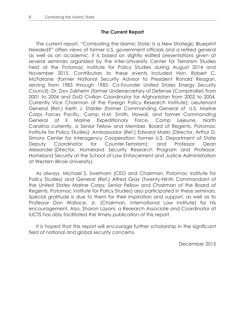#### **The Current Report**

The current report, "Combating the Islamic State: Is a New Strategic Blueprint Needed?" offers views of former U.S. government officials and a retired general as well as an academic. It is based on slightly edited presentations given at several seminars organized by the Inter-University Center for Terrorism Studies held at the Potomac Institute for Policy Studies during August 2014 and November 2015. Contributors to these events included Hon. Robert C. McFarlane (former National Security Advisor to President Ronald Reagan, serving from 1983 through 1985. Co-Founder United States Energy Security Council); Dr. Dov Zakheim (former Undersecretary of Defense (Comptroller) from 2001 to 2004 and DoD Civilian Coordinator for Afghanistan from 2002 to 2004. Currently Vice Chairman of the Foreign Policy Research Institute); Lieutenant General (Ret.) Keith J. Stalder (former Commanding General of U.S. Marine Corps Forces Pacific, Camp H.M. Smith, Hawaii, and former Commanding General of II Marine Expeditionary Force, Camp Lejeune, North Carolina; currently, a Senior Fellow and Member, Board of Regents, Potomac Institute for Policy Studies); Ambassador (Ret.) Edward Marks (Director, Arthur D. Simons Center for Interagency Cooperation; former U.S. Department of State Deputy Coordinator for Counter-Terrorism); and Professor Dean Alexander (Director, Homeland Security Research Program and Professor, Homeland Security at the School of Law Enforcement and Justice Administration at Western Illinois University).

As always, Michael S. Swetnam (CEO and Chairman, Potomac Institute for Policy Studies) and General (Ret.) Alfred Gray (Twenty-Ninth Commandant of the United States Marine Corps; Senior Fellow and Chairman of the Board of Regents, Potomac Institute for Policy Studies) also participated in these seminars. Special gratitude is due to them for their inspiration and support, as well as to Professor Don Wallace, Jr. (Chairman, International Law Institute) for his encouragement. Also, Sharon Layani, a Research Associate and Coordinator at IUCTS has ably facilitated the timely publication of this report.

It is hoped that this report will encourage further scholarship in the significant field of national and global security concerns.

December 2015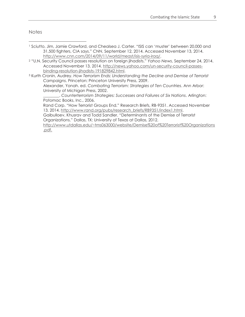**Notes** 

- <sup>1</sup> Sciutto, Jim, Jamie Crawford, and Chealsea J. Carter. "ISIS can 'muster' between 20,000 and 31,500 fighters, CIA says." *CNN*, September 12, 2014. Accessed November 13, 2014.
- http://www.cnn.com/2014/09/11/world/meast/isis-syria-iraq/. 2 "U.N. Security Council passes resolution on foreign jihadists." *Yahoo News*, September 24, 2014. Accessed November 13, 2014. http://news.yahoo.com/un-security-council-passes-

binding-resolution-jihadists-191829842.html. 3 Kurth Cronin, Audrey. *How Terrorism Ends: Understanding the Decline and Demise of Terrorist Campaigns*. Princeton: Princeton University Press, 2009. Alexander, Yonah. ed. *Combating Terrorism: Strategies of Ten Countries*. Ann Arbor: University of Michigan Press, 2002.

\_\_\_\_\_\_\_\_. *Counterterrorism Strategies: Successes and Failures of Six Nations*. Arlington: Potomac Books, Inc., 2006.

Rand Corp. "How Terrorist Groups End." Research Briefs, RB-9351. Accessed November 13, 2014. http://www.rand.org/pubs/research\_briefs/RB9351/index1.html.

Gaibulloev, Khusrav and Todd Sandler. "Determinants of the Demise of Terrorist Organizations." Dallas, TX: University of Texas at Dallas, 2012.

http://www.utdallas.edu/~tms063000/website/Demise%20of%20Terrorist%20Organizations .pdf.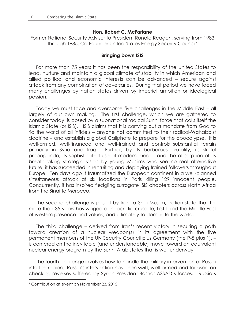#### **Hon. Robert C. McFarlane**

Former National Security Advisor to President Ronald Reagan, serving from 1983 through 1985. Co-Founder United States Energy Security Council

#### **Bringing Down ISIS**

For more than 75 years it has been the responsibility of the United States to lead, nurture and maintain a global climate of stability in which American and allied political and economic interests can be advanced – secure against attack from any combination of adversaries. During that period we have faced many challenges by nation states driven by imperial ambition or ideological passion.

Today we must face and overcome five challenges in the Middle East – all largely of our own making. The first challenge, which we are gathered to consider today, is posed by a subnational radical Sunni force that calls itself the Islamic State (or ISIS). ISIS claims that it is carrying out a mandate from God to rid the world of all infidels – anyone not committed to their radical-Wahabbist doctrine – and establish a global Caliphate to prepare for the apocalypse. It is well-armed, well-financed and well-trained and controls substantial terrain primarily in Syria and Iraq. Further, by its barbarous brutality, its skillful propaganda, its sophisticated use of modern media, and the absorption of its breath-taking strategic vision by young Muslims who see no real alternative future, it has succeeded in recruiting and deploying trained followers throughout Europe. Ten days ago it traumatized the European continent in a well-planned simultaneous attack at six locations in Paris killing 129 innocent people. Concurrently, it has inspired fledgling surrogate ISIS chapters across North Africa from the Sinai to Morocco.

The second challenge is posed by Iran, a Shia-Muslim, nation-state that for more than 35 years has waged a theocratic crusade, first to rid the Middle East of western presence and values, and ultimately to dominate the world.

The third challenge – derived from Iran's recent victory in securing a path toward creation of a nuclear weapon(s) in its agreement with the five permanent members of the UN Security Council plus Germany (the P-5 plus 1), – is centered on the inevitable (and understandable) move toward an equivalent nuclear energy program by the Sunni Arab states that is well underway.

The fourth challenge involves how to handle the military intervention of Russia into the region. Russia's intervention has been swift, well-armed and focused on checking reverses suffered by Syrian President Bashar ASSAD's forces. Russia's

 Contribution at event on November 23, 2015.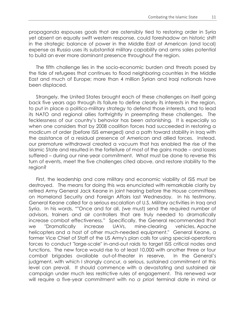propaganda espouses goals that are ostensibly tied to restoring order in Syria yet absent an equally swift western response, could foreshadow an historic shift in the strategic balance of power in the Middle East at American (and local) expense as Russia uses its substantial military capability and arms sales potential to build an ever more dominant presence throughout the region.

The fifth challenge lies in the socio-economic burden and threats posed by the tide of refugees that continues to flood neighboring countries in the Middle East and much of Europe; more than 4 million Syrian and Iraqi nationals have been displaced.

Strangely, the United States brought each of these challenges on itself going back five years ago through its failure to define clearly its interests in the region, to put in place a politico-military strategy to defend those interests, and to lead its NATO and regional allies forthrightly in preempting these challenges. The fecklessness of our country's behavior has been astonishing. It is especially so when one considers that by 2008 coalition forces had succeeded in restoring a modicum of order (before ISIS emerged) and a path toward stability in Iraq with the assistance of a residual presence of American and allied forces. Instead, our premature withdrawal created a vacuum that has enabled the rise of the Islamic State and resulted in the forfeiture of most of the gains made – and losses suffered – during our nine-year commitment. What must be done to reverse this turn of events, meet the five challenges cited above, and restore stability to the region?

First, the leadership and core military and economic viability of ISIS must be destroyed. The means for doing this was enunciated with remarkable clarity by retired Army General Jack Keane in joint hearing before the House committees on Homeland Security and Foreign Affairs last Wednesday. In his testimony, General Keane called for a serious escalation of U.S. Military activities in Iraq and Syria. In his words, ""Once and for all, (we must) send the required number of advisors, trainers and air controllers that are truly needed to dramatically increase combat effectiveness." Specifically, the General recommended that we "Dramatically increase UAVs, mine-clearing vehicles, Apache helicopters and a host of other much-needed equipment." General Keane, a former Vice Chief of Staff of the US Army's plan calls for using special-operations forces to conduct "large-scale" in-and-out raids to target ISIS critical nodes and functions. The new force would rise to at least 10,000 with another three or four combat brigades available out-of-theater in reserve. In the General's judgment, with which I strongly concur, a serious, sustained commitment at this level can prevail. It should commence with a devastating and sustained air campaign under much less restrictive rules of engagement. This renewed war will require a five-year commitment with no *a priori* terminal date in mind or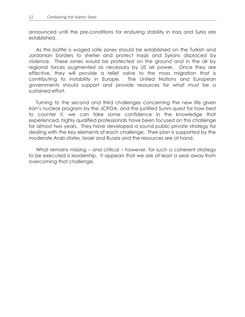announced until the pre-conditions for enduring stability in Iraq and Syria are established.

As this battle is waged safe zones should be established on the Turkish and Jordanian borders to shelter and protect Iraqis and Syrians displaced by violence. These zones would be protected on the ground and in the air by regional forces augmented as necessary by US air power. Once they are effective, they will provide a relief valve to the mass migration that is contributing to instability in Europe. The United Nations and European governments should support and provide resources for what must be a sustained effort.

Turning to the second and third challenges concerning the new life given Iran's nuclear program by the JCPOA, and the justified Sunni quest for how best to counter it, we can take some confidence in the knowledge that experienced, highly qualified professionals have been focused on this challenge for almost two years. They have developed a sound public-private strategy for dealing with the key elements of each challenge. Their plan is supported by the moderate Arab states, Israel and Russia and the resources are at hand.

What remains missing – and critical – however, for such a coherent strategy to be executed is leadership. It appears that we are at least a year away from overcoming that challenge.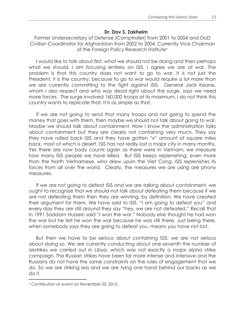#### **Dr. Dov S. Zakheim**

Former Undersecretary of Defense (Comptroller) from 2001 to 2004 and DoD Civilian Coordinator for Afghanistan from 2002 to 2004. Currently Vice Chairman of the Foreign Policy Research Institute

I would like to talk about first, what we should not be doing and then perhaps what we should. I am focusing entirely on ISIS. I agree we are at war. The problem is that this country does not want to go to war. It is not just the President, it is the country, because to go to war would require a lot more than we are currently committing to the fight against ISIS. General Jack Keane, whom I also respect and who was dead right about the surge, says we need more forces. The surge involved 160,000 troops at its maximum. I do not think this country wants to replicate that. It is as simple as that.

If we are not going to send that many troops and not going to spend the money that goes with them, then maybe we should not talk about going to war. Maybe we should talk about containment. Now I know the administration talks about containment but they are clearly not containing very much. They say they have rolled back ISIS and they have gotten "x" amount of square miles back, most of which is desert. ISIS has not really lost a major city in many months. Yes there are now body counts again as there were in Vietnam; we measure how many ISIS people we have killed. But ISIS keeps replenishing; even more than the North Vietnamese, who drew upon the Viet Cong, ISIS replenishes its forces from all over the world. Clearly, the measures we are using are phony measures.

If we are not going to defeat ISIS and we are talking about containment, we ought to recognize that we should not talk about defeating them because if we are not defeating them then they are winning, by definition. We have created their argument for them. We have said to ISIS, "I am going to defeat you" and every day they are still around they say "hey, we are not defeated." Recall that in 1991 Saddam Hussein said "I won the war." Nobody else thought he had won the war but he felt he won the war because he was still there. Just being there, when somebody says they are going to defeat you, means you have not lost.

But then we have to be serious about containing ISIS; we are not serious about doing so. We are currently conducting about one-seventh the number of airstrikes we carried out in Libya, which was not exactly a major alpha strike campaign. The Russian strikes have been far more intense and intensive and the Russians do not have the same constraints on the rules of engagement that we do. So we are striking less and we are tying one hand behind our backs as we do it.

 Contribution at event on November 23, 2015.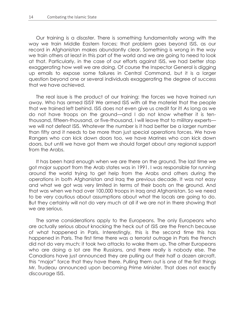Our training is a disaster. There is something fundamentally wrong with the way we train Middle Eastern forces; that problem goes beyond ISIS, as our record in Afghanistan makes abundantly clear. Something is wrong in the way we train others at least in this part of the world and we are going to need to look at that. Particularly, in the case of our efforts against ISIS, we had better stop exaggerating how well we are doing. Of course the Inspector General is digging up emails to expose some failures in Central Command, but it is a larger question beyond one or several individuals exaggerating the degree of success that we have achieved.

The real issue is the product of our training: the forces we have trained run away. Who has armed ISIS? We armed ISIS with all the materiel that the people that we trained left behind. ISIS does not even give us credit for it! As long as we do not have troops on the ground—and I do not know whether it is tenthousand, fifteen-thousand, or five-thousand, I will leave that to military experts we will not defeat ISIS. Whatever the number is it had better be a larger number than fifty and it needs to be more than just special operations forces. We have Rangers who can kick down doors too, we have Marines who can kick down doors, but until we have got them we should forget about any regional support from the Arabs.

It has been hard enough when we are there on the ground. The last time we got major support from the Arab states was in 1991. I was responsible for running around the world trying to get help from the Arabs and others during the operations in both Afghanistan and Iraq the previous decade. It was not easy and what we got was very limited in terms of their boots on the ground. And that was when we had over 100,000 troops in Iraq and Afghanistan. So we need to be very cautious about assumptions about what the locals are going to do. But they certainly will not do very much at all if we are not in there showing that we are serious.

The same considerations apply to the Europeans. The only Europeans who are actually serious about knocking the heck out of ISIS are the French because of what happened in Paris. Interestingly, this is the second time this has happened in Paris. The first time there was a terrorist outrage in Paris the French did not do very much; it took two attacks to wake them up. The other Europeans who are doing a lot are the Russians, and there really is nobody else. The Canadians have just announced they are pulling out their half a dozen aircraft, this "major" force that they have there. Pulling them out is one of the first things Mr. Trudeau announced upon becoming Prime Minister. That does not exactly discourage ISIS.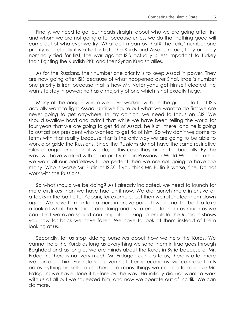Finally, we need to get our heads straight about who we are going after first and whom we are not going after because unless we do that nothing good will come out of whatever we try. What do I mean by that? The Turks' number one priority is—actually it is a tie for first—the Kurds and Assad. In fact, they are only nominally tied for first; the war against ISIS actually is less important to Turkey than fighting the Kurdish PKK and their Syrian Kurdish allies.

As for the Russians, their number one priority is to keep Assad in power. They are now going after ISIS because of what happened over Sinai. Israel's number one priority is Iran because that is how Mr. Netanyahu got himself elected. He wants to stay in power; he has a majority of one which is not exactly huge.

Many of the people whom we have worked with on the ground to fight ISIS actually want to fight Assad. Until we figure out what we want to do first we are never going to get anywhere. In my opinion, we need to focus on ISIS. We should swallow hard and admit that while we have been telling the world for four years that we are going to get rid of Assad, he is still there, and he is going to outlast our president who wanted to get rid of him. So why don't we come to terms with that reality because that is the only way we are going to be able to work alongside the Russians. Since the Russians do not have the same restrictive rules of engagement that we do, in this case they are not a bad ally. By the way, we have worked with some pretty mean Russians in World War II. In truth, if we want all our bedfellows to be perfect then we are not going to have too many. Who is worse Mr. Putin or ISIS? If you think Mr. Putin is worse, fine. Do not work with the Russians.

So what should we be doing? As I already indicated, we need to launch far more airstrikes than we have had until now. We did launch more intensive air attacks in the battle for Kobani, for example, but then we ratcheted them down again. We have to maintain a more intensive pace. It would not be bad to take a look at what the Russians are doing and try to emulate them as much as we can. That we even should contemplate looking to emulate the Russians shows you how far back we have fallen. We have to look at them instead of them looking at us.

Secondly, let us stop kidding ourselves about how we help the Kurds. We cannot help the Kurds as long as everything we send them in Iraq goes through Baghdad and as long as we are minds about the Kurds in Syria because of Mr. Erdogan. There is not very much Mr. Erdogan can do to us, there is a lot more we can do to him. For instance, given his tottering economy, we can raise tariffs on everything he sells to us. There are many things we can do to squeeze Mr. Erdogan; we have done it before by the way. He initially did not want to work with us at all but we squeezed him, and now we operate out of Incirlik. We can do more.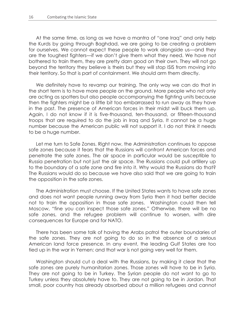At the same time, as long as we have a mantra of "one Iraq" and only help the Kurds by going through Baghdad, we are going to be creating a problem for ourselves. We cannot expect these people to work alongside us—and they are the toughest fighters—if we don't give them what they need. We have not bothered to train them, they are pretty darn good on their own. They will not go beyond the territory they believe is theirs but they will stop ISIS from moving into their territory. So that is part of containment. We should arm them directly.

We definitely have to revamp our training. The only way we can do that in the short term is to have more people on the ground. More people who not only are acting as spotters but also people accompanying the fighting units because then the fighters might be a little bit too embarrassed to run away as they have in the past. The presence of American forces in their midst will buck them up. Again, I do not know if it is five-thousand, ten-thousand, or fifteen-thousand troops that are required to do the job in Iraq and Syria. It cannot be a huge number because the American public will not support it. I do not think it needs to be a huge number.

Let me turn to Safe Zones. Right now, the Administration continues to oppose safe zones because it fears that the Russians will confront American forces and penetrate the safe zones. The air space in particular would be susceptible to Russia penetration but not just the air space. The Russians could pull artillery up to the boundary of a safe zone and fire into it. Why would the Russians do that? The Russians would do so because we have also said that we are going to train the opposition in the safe zones.

The Administration must choose. If the United States wants to have safe zones and does not want people running away from Syria then it had better decide not to train the opposition in those safe zones. Washington could then tell Moscow, "fine you can inspect those safe zones." Otherwise, there will be no safe zones, and the refugee problem will continue to worsen, with dire consequences for Europe and for NATO.

There has been some talk of having the Arabs patrol the outer boundaries of the safe zones. They are not going to do so in the absence of a serious American land force presence. In any event, the leading Gulf States are too tied up in the war in Yemen; and that war is not going very well for them.

Washington should cut a deal with the Russians, by making it clear that the safe zones are purely humanitarian zones. Those zones will have to be in Syria. They are not going to be in Turkey. The Syrian people do not want to go to Turkey unless they absolutely have to. They are not going to be in Jordan. That small, poor country has already absorbed about a million refugees and cannot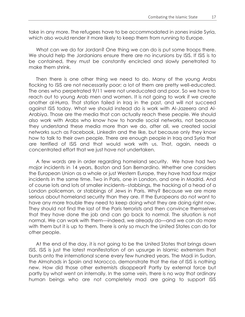take in any more. The refugees have to be accommodated in zones inside Syria, which also would render it more likely to keep them from running to Europe.

What can we do for Jordan? One thing we can do is put some troops there. We should help the Jordanians ensure there are no incursions by ISIS. If ISIS is to be contained, they must be constantly encircled and slowly penetrated to make them shrink.

Then there is one other thing we need to do. Many of the young Arabs flocking to ISIS are not necessarily poor; a lot of them are pretty well-educated. The ones who perpetrated 9/11 were not uneducated and poor. So we have to reach out to young Arab men and women. It is not going to work if we create another al-Hurra. That station failed in Iraq in the past, and will not succeed against ISIS today. What we should instead do is work with Al-Jazeera and Al-Arabiya. Those are the media that can actually reach these people. We should also work with Arabs who know how to handle social networks, not because they understand these media more than we do, after all, we created social networks such as Facebook, LinkedIn and the like, but because only they know how to talk to their own people. There are enough people in Iraq and Syria that are terrified of ISIS and that would work with us. That, again, needs a concentrated effort that we just have not undertaken.

A few words are in order regarding homeland security. We have had two major incidents in 14 years, Boston and San Bernardino. Whether one considers the European Union as a whole or just Western Europe, they have had four major incidents in the same time. Two in Paris, one in London, and one in Madrid. And of course lots and lots of smaller incidents--stabbings, the hacking of a head of a London policeman, or stabbings of Jews in Paris. Why? Because we are more serious about homeland security than they are. If the Europeans do not want to have any more trouble they need to keep doing what they are doing right now. They should not find the last of the Paris terrorists and then convince themselves that they have done the job and can go back to normal. The situation is not normal. We can work with them—indeed, we already do—and we can do more with them but it is up to them. There is only so much the United States can do for other people.

At the end of the day, it is not going to be the United States that brings down ISIS. ISIS is just the latest manifestation of an upsurge in Islamic extremism that bursts onto the international scene every few hundred years. The Madi in Sudan, the Almohads in Spain and Morocco, demonstrate that the rise of ISIS is nothing new. How did those other extremists disappear? Partly by external force but partly by what went on internally. In the same vein, there is no way that ordinary human beings who are not completely mad are going to support ISIS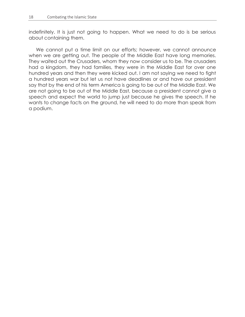indefinitely. It is just not going to happen. What we need to do is be serious about containing them.

We cannot put a time limit on our efforts; however, we cannot announce when we are getting out. The people of the Middle East have long memories. They waited out the Crusaders, whom they now consider us to be. The crusaders had a kingdom, they had families, they were in the Middle East for over one hundred years and then they were kicked out. I am not saying we need to fight a hundred years war but let us not have deadlines or and have our president say that by the end of his term America is going to be out of the Middle East. We are not going to be out of the Middle East, because a president cannot give a speech and expect the world to jump just because he gives the speech. If he wants to change facts on the ground, he will need to do more than speak from a podium.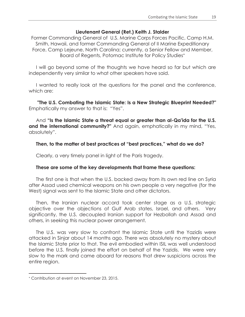#### **Lieutenant General (Ret.) Keith J. Stalder**

Former Commanding General of U.S. Marine Corps Forces Pacific, Camp H.M. Smith, Hawaii, and former Commanding General of II Marine Expeditionary Force, Camp Lejeune, North Carolina; currently, a Senior Fellow and Member, Board of Regents, Potomac Institute for Policy Studies

I will go beyond some of the thoughts we have heard so far but which are independently very similar to what other speakers have said.

I wanted to really look at the questions for the panel and the conference, which are:

**"The U.S. Combating the Islamic State: Is a New Strategic Blueprint Needed?"** Emphatically my answer to that is: "Yes".

And **"Is the Islamic State a threat equal or greater than al-Qa'ida for the U.S.**  and the international community?" And again, emphatically in my mind, "Yes, absolutely".

#### **Then, to the matter of best practices of "best practices," what do we do?**

Clearly, a very timely panel in light of the Paris tragedy.

#### **These are some of the key developments that frame these questions:**

The first one is that when the U.S. backed away from its own red line on Syria after Assad used chemical weapons on his own people a very negative (for the West) signal was sent to the Islamic State and other dictators.

Then, the Iranian nuclear accord took center stage as a U.S. strategic objective over the objections of Gulf Arab states, Israel, and others. Very significantly, the U.S. decoupled Iranian support for Hezbollah and Assad and others, in seeking this nuclear power arrangement.

The U.S. was very slow to confront the Islamic State until the Yazidis were attacked in Sinjar about 14 months ago. There was absolutely no mystery about the Islamic State prior to that. The evil embodied within ISIL was well understood before the U.S. finally joined the effort on behalf of the Yazidis. We were very slow to the mark and came aboard for reasons that drew suspicions across the entire region.

 Contribution at event on November 23, 2015.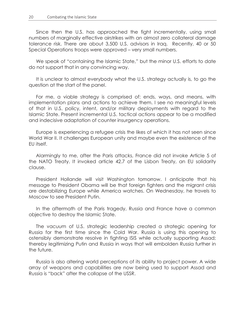Since then the U.S. has approached the fight incrementally, using small numbers of marginally effective airstrikes with an almost zero collateral damage tolerance risk. There are about 3,500 U.S. advisors in Iraq. Recently, 40 or 50 Special Operations troops were approved – very small numbers.

We speak of "containing the Islamic State," but the minor U.S. efforts to date do not support that in any convincing way.

It is unclear to almost everybody what the U.S. strategy actually is, to go the question at the start of the panel.

For me, a viable strategy is comprised of: ends, ways, and means, with implementation plans and actions to achieve them. I see no meaningful levels of that in U.S. policy, intent, and/or military deployments with regard to the Islamic State. Present incremental U.S. tactical actions appear to be a modified and indecisive adaptation of counter insurgency operations.

Europe is experiencing a refugee crisis the likes of which it has not seen since World War II. It challenges European unity and maybe even the existence of the EU itself.

Alarmingly to me, after the Paris attacks, France did not invoke Article 5 of the NATO Treaty. It invoked article 42.7 of the Lisbon Treaty, an EU solidarity clause.

President Hollande will visit Washington tomorrow. I anticipate that his message to President Obama will be that foreign fighters and the migrant crisis are destabilizing Europe while America watches. On Wednesday, he travels to Moscow to see President Putin.

In the aftermath of the Paris tragedy, Russia and France have a common objective to destroy the Islamic State.

The vacuum of U.S. strategic leadership created a strategic opening for Russia for the first time since the Cold War. Russia is using this opening to ostensibly demonstrate resolve in fighting ISIS while actually supporting Assad; thereby legitimizing Putin and Russia in ways that will embolden Russia further in the future.

Russia is also altering world perceptions of its ability to project power. A wide array of weapons and capabilities are now being used to support Assad and Russia is "back" after the collapse of the USSR.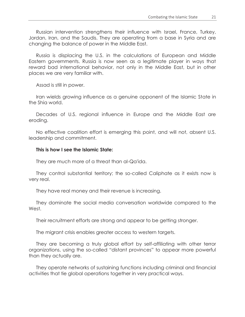Russian intervention strengthens their influence with Israel, France, Turkey, Jordan, Iran, and the Saudis. They are operating from a base in Syria and are changing the balance of power in the Middle East.

Russia is displacing the U.S. in the calculations of European and Middle Eastern governments. Russia is now seen as a legitimate player in ways that reward bad international behavior, not only in the Middle East, but in other places we are very familiar with.

Assad is still in power.

Iran wields growing influence as a genuine opponent of the Islamic State in the Shia world.

Decades of U.S. regional influence in Europe and the Middle East are eroding.

No effective coalition effort is emerging this point, and will not, absent U.S. leadership and commitment.

#### **This is how I see the Islamic State:**

They are much more of a threat than al-Qa'ida.

They control substantial territory; the so-called Caliphate as it exists now is very real.

They have real money and their revenue is increasing.

They dominate the social media conversation worldwide compared to the West.

Their recruitment efforts are strong and appear to be getting stronger.

The migrant crisis enables greater access to western targets.

They are becoming a truly global effort by self-affiliating with other terror organizations, using the so-called "distant provinces" to appear more powerful than they actually are.

They operate networks of sustaining functions including criminal and financial activities that tie global operations together in very practical ways.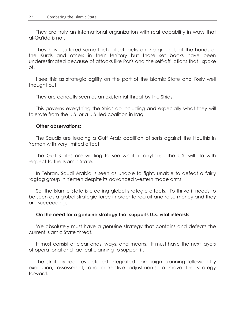They are truly an international organization with real capability in ways that al-Qa'ida is not.

They have suffered some tactical setbacks on the grounds at the hands of the Kurds and others in their territory but those set backs have been underestimated because of attacks like Paris and the self-affiliations that I spoke of.

I see this as strategic agility on the part of the Islamic State and likely well thought out.

They are correctly seen as an existential threat by the Shias.

This governs everything the Shias do including and especially what they will tolerate from the U.S. or a U.S. led coalition in Iraq.

#### **Other observations:**

The Saudis are leading a Gulf Arab coalition of sorts against the Houthis in Yemen with very limited effect.

The Gulf States are waiting to see what, if anything, the U.S. will do with respect to the Islamic State.

In Tehran, Saudi Arabia is seen as unable to fight, unable to defeat a fairly ragtag group in Yemen despite its advanced western made arms.

So, the Islamic State is creating global strategic effects. To thrive it needs to be seen as a global strategic force in order to recruit and raise money and they are succeeding.

#### **On the need for a genuine strategy that supports U.S. vital interests:**

We absolutely must have a genuine strategy that contains and defeats the current Islamic State threat.

It must consist of clear ends, ways, and means. It must have the next layers of operational and tactical planning to support it.

The strategy requires detailed integrated campaign planning followed by execution, assessment, and corrective adjustments to move the strategy forward.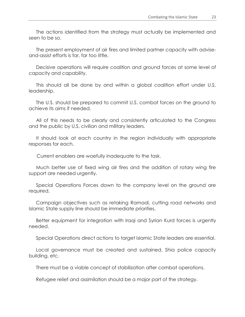The actions identified from the strategy must actually be implemented and seen to be so.

The present employment of air fires and limited partner capacity with adviseand-assist efforts is far, far too little.

Decisive operations will require coalition and ground forces at some level of capacity and capability.

This should all be done by and within a global coalition effort under U.S. leadership.

The U.S. should be prepared to commit U.S. combat forces on the ground to achieve its aims if needed.

All of this needs to be clearly and consistently articulated to the Congress and the public by U.S. civilian and military leaders.

It should look at each country in the region individually with appropriate responses for each.

Current enablers are woefully inadequate to the task.

Much better use of fixed wing air fires and the addition of rotary wing fire support are needed urgently.

Special Operations Forces down to the company level on the ground are required.

Campaign objectives such as retaking Ramadi, cutting road networks and Islamic State supply line should be immediate priorities.

Better equipment for integration with Iraqi and Syrian Kurd forces is urgently needed.

Special Operations direct actions to target Islamic State leaders are essential.

Local governance must be created and sustained. Shia police capacity building, etc.

There must be a viable concept of stabilization after combat operations.

Refugee relief and assimilation should be a major part of the strategy.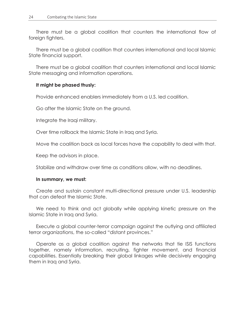There must be a global coalition that counters the international flow of foreign fighters.

There must be a global coalition that counters international and local Islamic State financial support.

There must be a global coalition that counters international and local Islamic State messaging and information operations.

#### **It might be phased thusly:**

Provide enhanced enablers immediately from a U.S. led coalition.

Go after the Islamic State on the ground.

Integrate the Iraqi military.

Over time rollback the Islamic State in Iraq and Syria.

Move the coalition back as local forces have the capability to deal with that.

Keep the advisors in place.

Stabilize and withdraw over time as conditions allow, with no deadlines.

#### **In summary, we must:**

Create and sustain constant multi-directional pressure under U.S. leadership that can defeat the Islamic State.

We need to think and act globally while applying kinetic pressure on the Islamic State in Iraq and Syria.

Execute a global counter-terror campaign against the outlying and affiliated terror organizations, the so-called "distant provinces."

Operate as a global coalition against the networks that tie ISIS functions together, namely information, recruiting, fighter movement, and financial capabilities. Essentially breaking their global linkages while decisively engaging them in Iraq and Syria.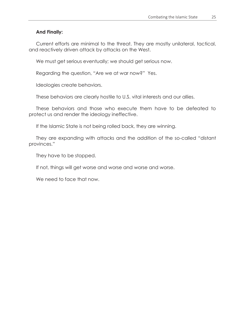#### **And Finally:**

Current efforts are minimal to the threat. They are mostly unilateral, tactical, and reactively driven attack by attacks on the West.

We must get serious eventually; we should get serious now.

Regarding the question, "Are we at war now?" Yes.

Ideologies create behaviors.

These behaviors are clearly hostile to U.S. vital interests and our allies.

These behaviors and those who execute them have to be defeated to protect us and render the ideology ineffective.

If the Islamic State is not being rolled back, they are winning.

They are expanding with attacks and the addition of the so-called "distant provinces."

They have to be stopped.

If not, things will get worse and worse and worse and worse.

We need to face that now.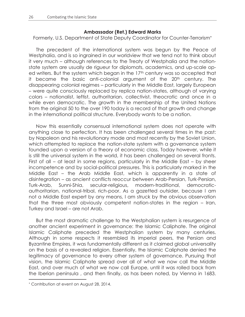#### **Ambassador (Ret.) Edward Marks**

Formerly, U.S. Department of State Deputy Coordinator for Counter-Terrorism

The precedent of the international system was begun by the Peace of Westphalia, and is so ingrained in our worldview that we tend not to think about it very much – although references to the Treaty of Westphalia and the nationstate system are usually de rigueur for diplomats, academics, and up-scale oped writers. But the system which began in the 17<sup>th</sup> century was so accepted that it became the basic anti-colonial argument of the  $20<sup>th</sup>$  century. The disappearing colonial regimes – particularly in the Middle East, largely European – were quite consciously replaced by replica nation-states, although of varying colors – nationalist, leftist, authoritarian, collectivist, theocratic and once in a while even democratic. The growth in the membership of the United Nations from the original 50 to the over 190 today is a record of that growth and change in the international political structure. Everybody wants to be a nation.

Now this essentially consensual international system does not operate with anything close to perfection. It has been challenged several times in the past: by Napoleon and his revolutionary mode and most recently by the Soviet Union, which attempted to replace the nation-state system with a governance system founded upon a version of a theory of economic class. Today however, while it is still the universal system in the world, it has been challenged on several fronts. First of all – at least in some regions, particularly in the Middle East – by sheer incompetence and by social-political pressures. This is particularly marked in the Middle East – the Arab Middle East, which is apparently in a state of disintegration – as ancient conflicts reoccur between Arab-Persian, Turk-Persian, Turk-Arab, Sunni-Shia, secular-religious, modern-traditional, democraticauthoritarian, national-tribal, rich-poor. As a gazetted outsider, because I am not a Middle East expert by any means, I am struck by the obvious observation that the three most obviously competent nation-states in the region – Iran, Turkey and Israel – are not Arab.

But the most dramatic challenge to the Westphalian system is resurgence of another ancient experiment in governance: the Islamic Caliphate. The original Islamic Caliphate preceded the Westphalian system by many centuries. Although in some respects it resembled its imperial peers, the Persian and Byzantine Empires, it was fundamentally different as it claimed global universality on the basis of a revealed religion. Essentially, the Islamic Caliphate denied the legitimacy of governance to every other system of governance. Pursuing that vision, the Islamic Caliphate spread over all of what we now call the Middle East, and over much of what we now call Europe, until it was rolled back from the Iberian peninsula , and then finally, as has been noted, by Vienna in 1683.

 Contribution at event on August 28, 2014.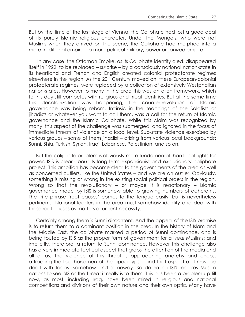But by the time of the last siege of Vienna, the Caliphate had lost a good deal of its purely Islamic religious character. Under the Mongols, who were not Muslims when they arrived on the scene, the Caliphate had morphed into a more traditional empire – a more political-military, power organized empire.

 In any case, the Ottoman Empire, as its Caliphate identity died, disappeared itself in 1922, to be replaced – surprise – by a consciously national nation-state in its heartland and French and English created colonial protectorate regimes elsewhere in the region. As the 20<sup>th</sup> Century moved on, these European-colonial protectorate regimes, were replaced by a collection of extensively Westphalian nation-states. However to many in the area this was an alien framework, which to this day still competes with religious and tribal identities. But at the same time this decolonization was happening, the counter-revolution of Islamic governance was being reborn. Intrinsic in the teachings of the Salafists or jihadists or whatever you want to call them, was a call for the return of Islamic governance and the Islamic Caliphate. While this claim was recognized by many, this aspect of the challenge was submerged, and ignored in the focus of immediate threats of violence on a local level. Sub-state violence exercised by various groups – some of them jihadist – arising from various local backgrounds: Sunni, Shia, Turkish, Syrian, Iraqi, Lebanese, Palestinian, and so on.

But the caliphate problem is obviously more fundamental than local fights for power. ISIS is clear about its long-term expansionist and exclusionary caliphate project. This ambition has become clear to the governments of the area as well as concerned outliers, like the United States – and we are an outlier. Obviously, something is missing or wrong in the existing social political orders in the region. Wrong so that the revolutionary – or maybe it is reactionary – Islamic governance model by ISIS is somehow able to growing numbers of adherents. The trite phrase 'root causes' comes to the tongue easily, but is nevertheless pertinent. National leaders in the area must somehow identify and deal with these root causes as matters of urgent necessity.

Certainly among them is Sunni discontent. And the appeal of the ISIS promise is to return them to a dominant position in the area. In the history of Islam and the Middle East, the caliphate marked a period of Sunni dominance, and is being touted by ISIS as the proper form of government for all *real* Muslims: and implicitly, therefore, a return to Sunni dominance. However this challenge also has a very immediate tactical aspect that grabs the attention of the media and all of us. The violence of this threat is approaching anarchy and chaos, attracting the four horsemen of the apocalypse, and that aspect of it must be dealt with today, somehow and someway. So defeating ISIS requires Muslim nations to see ISIS as the threat it really is to them. This has been a problem up till now, as most, including Iraq, have been mired in religious and national competitions and divisions of their own nature and their own optic. Many have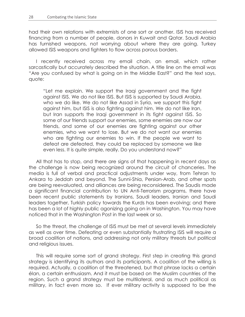had their own relations with extremists of one sort or another. ISIS has received financing from a number of people, donors in Kuwait and Qatar. Saudi Arabia has furnished weapons, not worrying about where they are going. Turkey allowed ISIS weapons and fighters to flow across porous borders.

I recently received across my email chain, an email, which rather sarcastically but accurately described the situation. A title line on the email was "Are you confused by what is going on in the Middle East?" and the text says, quote:

"Let me explain. We support the Iraqi government and the fight against ISIS. We do not like ISIS. But ISIS is supported by Saudi Arabia, who we do like. We do not like Assad in Syria, we support this fight against him, but ISIS is also fighting against him. We do not like Iran, but Iran supports the Iraqi government in its fight against ISIS. So some of our friends support our enemies, some enemies are now our friends, and some of our enemies are fighting against our other enemies, who we want to lose. But we do not want our enemies who are fighting our enemies to win. If the people we want to defeat are defeated, they could be replaced by someone we like even less. It is quite simple, really. Do you understand now?"

All that has to stop, and there are signs of that happening in recent days as the challenge is now being recognized around the circuit of chanceries. The media is full of verbal and practical adjustments under way, from Tehran to Ankara to Jeddah and beyond. The Sunni-Shia, Persian-Arab, and other spats are being reevaluated, and alliances are being reconsidered. The Saudis made a significant financial contribution to UN Anti-Terrorism programs, there have been recent public statements by Iranians, Saudi leaders, Iranian and Saudi leaders together, Turkish policy towards the Kurds has been evolving; and there has been a lot of highly public agonizing going on in Washington. You may have noticed that in the Washington Post in the last week or so.

So the threat, the challenge of ISIS must be met at several levels immediately as well as over time. Defeating or even substantially frustrating ISIS will require a broad coalition of nations, and addressing not only military threats but political and religious issues.

This will require some sort of grand strategy. First step in creating this grand strategy is identifying its authors and its participants. A coalition of the willing is required. Actually, a coalition of the threatened, but that phrase lacks a certain élan, a certain enthusiasm. And it must be based on the Muslim countries of the region. Such a grand strategy must be multilateral, and as much political as military, in fact even more so. If ever military activity is supposed to be the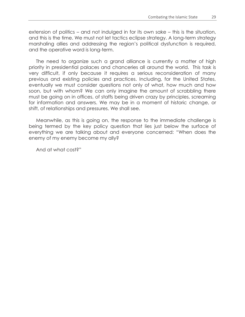extension of politics – and not indulged in for its own sake – this is the situation, and this is the time. We must not let tactics eclipse strategy. A long-term strategy marshaling allies and addressing the region's political dysfunction is required, and the operative word is long-term.

The need to organize such a grand alliance is currently a matter of high priority in presidential palaces and chanceries all around the world. This task is very difficult, if only because it requires a serious reconsideration of many previous and existing policies and practices. Including, for the United States, eventually we must consider questions not only of what, how much and how soon, but with whom? We can only imagine the amount of scrabbling there must be going on in offices, of staffs being driven crazy by principles, screaming for information and answers. We may be in a moment of historic change, or shift, of relationships and pressures. We shall see.

Meanwhile, as this is going on, the response to the immediate challenge is being termed by the key policy question that lies just below the surface of everything we are talking about and everyone concerned: "When does the enemy of my enemy become my ally?

And at what cost?"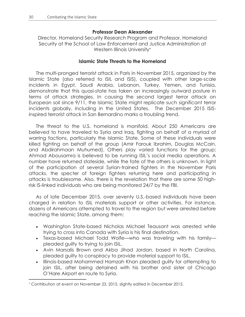#### **Professor Dean Alexander**

Director, Homeland Security Research Program and Professor, Homeland Security at the School of Law Enforcement and Justice Administration at Western Illinois University<sup>\*</sup>

#### **Islamic State Threats to the Homeland**

The multi-pronged terrorist attack in Paris in November 2015, organized by the Islamic State (also referred to ISIL and ISIS), coupled with other large-scale incidents in Egypt, Saudi Arabia, Lebanon, Turkey, Yemen, and Tunisia, demonstrate that this quasi-state has taken an increasingly outward posture in terms of attack strategies. In causing the second largest terror attack on European soil since 9/11, the Islamic State might replicate such significant terror incidents globally, including in the United States. The December 2015 ISISinspired terrorist attack in San Bernardino marks a troubling trend.

The threat to the U.S. homeland is manifold. About 250 Americans are believed to have traveled to Syria and Iraq, fighting on behalf of a myriad of warring factions, particularly the Islamic State. Some of these individuals were killed fighting on behalf of the group (Amir Farouk Ibrahim, Douglas McCain, and Abdirahmaan Muhumed). Others play varied functions for the group; Ahmad Abousamra is believed to be running ISIL's social media operations. A number have returned stateside, while the fate of the others is unknown. In light of the participation of several Syrian-trained fighters in the November Paris attacks, the specter of foreign fighters returning here and participating in attacks is troublesome. Also, there is the revelation that there are some 50 highrisk IS-linked individuals who are being monitored 24/7 by the FBI.

As of late December 2015, over seventy U.S.-based individuals have been charged in relation to ISIL materials support or other activities. For instance, dozens of Americans attempted to travel to the region but were arrested before reaching the Islamic State, among them:

- Washington State-based Nicholas Michael Teausant was arrested while trying to cross into Canada with Syria is his final destination.
- Texas-based Michael Todd Wolfe—who was traveling with his family pleaded guilty to trying to join ISIL.
- Avin Marsalis Brown and Akba Jihad Jordan, based in North Carolina, pleaded guilty to conspiracy to provide material support to ISIL.
- Illinois-based Mohammed Hamzah Khan pleaded guilty for attempting to join ISIL, after being detained with his brother and sister at Chicago O'Hare Airport en route to Syria.

 Contribution at event on November 23, 2015, slightly edited in December 2015.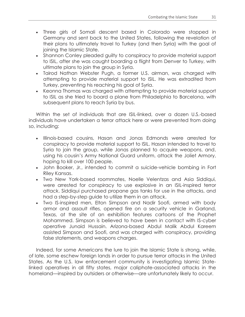- Three girls of Somali descent based in Colorado were stopped in Germany and sent back to the United States, following the revelation of their plans to ultimately travel to Turkey (and then Syria) with the goal of joining the Islamic State.
- Shannon Conley pleaded guilty to conspiracy to provide material support to ISIL, after she was caught boarding a flight from Denver to Turkey, with ultimate plans to join the group in Syria.
- Tairod Nathan Webster Pugh, a former U.S. airman, was charged with attempting to provide material support to ISIL. He was extradited from Turkey, preventing his reaching his goal of Syria.
- Keonna Thomas was charged with attempting to provide material support to ISIL as she tried to board a plane from Philadelphia to Barcelona, with subsequent plans to reach Syria by bus.

Within the set of individuals that are ISIL-linked, over a dozen U.S.-based individuals have undertaken a terror attack here or were prevented from doing so, including:

- Illinois-based cousins, Hasan and Jonas Edmonds were arrested for conspiracy to provide material support to ISIL. Hasan intended to travel to Syria to join the group, while Jonas planned to acquire weapons, and, using his cousin's Army National Guard uniform, attack the Joliet Armory, hoping to kill over 100 people.
- John Booker, Jr., intended to commit a suicide-vehicle bombing in Fort Riley Kansas.
- Two New York-based roommates, Noelle Velentzas and Asia Siddiqui, were arrested for conspiracy to use explosive in an ISIL-inspired terror attack. Siddiqui purchased propane gas tanks for use in the attacks, and had a step-by-step guide to utilize them in an attack.
- Two IS-inspired men, Elton Simpson and Nadir Soofi, armed with body armor and assault rifles, opened fire on a security vehicle in Garland, Texas, at the site of an exhibition features cartoons of the Prophet Mohammed. Simpson is believed to have been in contact with IS-cyber operative Junaid Hussain. Arizona-based Abdul Malik Abdul Kareem assisted Simpson and Soofi, and was charged with conspiracy, providing false statements, and weapons charges.

Indeed, for some Americans the lure to join the Islamic State is strong, while, of late, some eschew foreign lands in order to pursue terror attacks in the United States. As the U.S. law enforcement community is investigating Islamic Statelinked operatives in all fifty states, major caliphate-associated attacks in the homeland—inspired by outsiders or otherwise—are unfortunately likely to occur.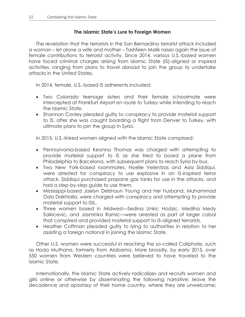### **The Islamic State's Lure to Foreign Women**

The revelation that the terrorists in the San Bernardino terrorist attack included a woman – let alone a wife and mother – Tashfeen Malik raises again the issue of female contributions to terrorist activity. Since 2014, various U.S.-based women have faced criminal charges arising from Islamic State (IS)-aligned or inspired activities, ranging from plans to travel abroad to join the group to undertake attacks in the United States.

In 2014, female, U.S.-based IS adherents included:

- Two Colorado teenage sisters and their female schoolmate were intercepted at Frankfurt Airport en route to Turkey while intending to reach the Islamic State.
- Shannon Conley pleaded guilty to conspiracy to provide material support to IS, after she was caught boarding a flight from Denver to Turkey, with ultimate plans to join the group in Syria.

In 2015, U.S.-linked women aligned with the Islamic State comprised:

- Pennsylvania-based Keonna Thomas was charged with attempting to provide material support to IS as she tried to board a plane from Philadelphia to Barcelona, with subsequent plans to reach Syria by bus.
- Two New York-based roommates, Noelle Velentzas and Asia Siddiqui, were arrested for conspiracy to use explosive in an IS-inspired terror attack. Siddiqui purchased propane gas tanks for use in the attacks, and had a step-by-step guide to use them.
- Mississippi-based Jaelyn Delshaun Young and her husband, Muhammad Oda Dakhlalla, were charged with conspiracy and attempting to provide material support to ISIL.
- Three women based in Midwest—Sedina Unkic Hodzic, Mediha Medy Salkicevic, and Jasminka Ramic—were arrested as part of larger cabal that conspired and provided material support to IS-aligned terrorists.
- Heather Coffman pleaded guilty to lying to authorities in relation to her assisting a foreign national in joining the Islamic State.

Other U.S. women were successful in reaching the so-called Caliphate, such as Hoda Muthana, formerly from Alabama. More broadly, by early 2015, over 550 women from Western countries were believed to have traveled to the Islamic State.

Internationally, the Islamic State actively radicalizes and recruits women and girls online or otherwise by disseminating the following narrative: leave the decadence and apostasy of their home country, where they are unwelcome;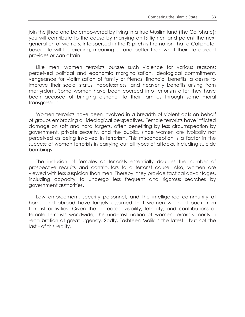join the jihad and be empowered by living in a true Muslim land (the Caliphate); you will contribute to the cause by marrying an IS fighter, and parent the next generation of warriors. Interspersed in the IS pitch is the notion that a Caliphatebased life will be exciting, meaningful, and better than what their life abroad provides or can attain.

Like men, women terrorists pursue such violence for various reasons: perceived political and economic marginalization, ideological commitment, vengeance for victimization of family or friends, financial benefits, a desire to improve their social status, hopelessness, and heavenly benefits arising from martyrdom. Some women have been coerced into terrorism after they have been accused of bringing dishonor to their families through some moral transgression.

Women terrorists have been involved in a breadth of violent acts on behalf of groups embracing all ideological perspectives. Female terrorists have inflicted damage on soft and hard targets, often benefiting by less circumspection by government, private security, and the public, since women are typically not perceived as being involved in terrorism. This misconception is a factor in the success of women terrorists in carrying out all types of attacks, including suicide bombings.

The inclusion of females as terrorists essentially doubles the number of prospective recruits and contributors to a terrorist cause. Also, women are viewed with less suspicion than men. Thereby, they provide tactical advantages, including capacity to undergo less frequent and rigorous searches by government authorities.

Law enforcement, security personnel, and the intelligence community at home and abroad have largely assumed that women will hold back from terrorist activities. Given the increased visibility, lethality, and contributions of female terrorists worldwide, this underestimation of women terrorists merits a recalibration at great urgency. Sadly, Tashfeen Malik is the latest – but not the last – of this reality.